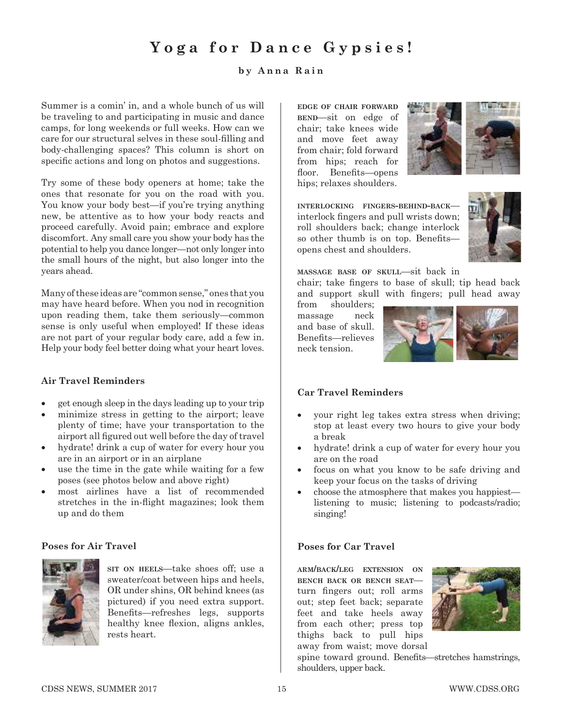# **Yoga for Dance Gypsies!**

### **by Anna Rain**

Summer is a comin' in, and a whole bunch of us will be traveling to and participating in music and dance camps, for long weekends or full weeks. How can we care for our structural selves in these soul-filling and body-challenging spaces? This column is short on specific actions and long on photos and suggestions.

Try some of these body openers at home; take the ones that resonate for you on the road with you. You know your body best—if you're trying anything new, be attentive as to how your body reacts and proceed carefully. Avoid pain; embrace and explore discomfort. Any small care you show your body has the potential to help you dance longer—not only longer into the small hours of the night, but also longer into the years ahead.

Many of these ideas are "common sense," ones that you may have heard before. When you nod in recognition upon reading them, take them seriously—common sense is only useful when employed! If these ideas are not part of your regular body care, add a few in. Help your body feel better doing what your heart loves.

#### **Air Travel Reminders**

- get enough sleep in the days leading up to your trip
- minimize stress in getting to the airport; leave plenty of time; have your transportation to the airport all figured out well before the day of travel
- hydrate! drink a cup of water for every hour you are in an airport or in an airplane
- use the time in the gate while waiting for a few poses (see photos below and above right)
- most airlines have a list of recommended stretches in the in-flight magazines; look them up and do them

#### **Poses for Air Travel**



**sit on heels**—take shoes off; use a sweater/coat between hips and heels, OR under shins, OR behind knees (as pictured) if you need extra support. Benefits—refreshes legs, supports healthy knee flexion, aligns ankles, rests heart.

**edge of chair forward bend**—sit on edge of chair; take knees wide and move feet away from chair; fold forward from hips; reach for floor. Benefits—opens hips; relaxes shoulders.



**interlocking fingers-behind-back** interlock fingers and pull wrists down; roll shoulders back; change interlock so other thumb is on top. Benefitsopens chest and shoulders.



**massage base of skull**—sit back in

chair; take fingers to base of skull; tip head back and support skull with fingers; pull head away

from shoulders; massage neck and base of skull. Benefits—relieves neck tension.



#### **Car Travel Reminders**

- your right leg takes extra stress when driving; stop at least every two hours to give your body a break
- hydrate! drink a cup of water for every hour you are on the road
- focus on what you know to be safe driving and keep your focus on the tasks of driving
- choose the atmosphere that makes you happiestlistening to music; listening to podcasts/radio; singing!

#### **Poses for Car Travel**

**arm/back/leg extension on bench back or bench seat** turn fingers out; roll arms out; step feet back; separate feet and take heels away from each other; press top thighs back to pull hips away from waist; move dorsal



spine toward ground. Benefits—stretches hamstrings, shoulders, upper back.